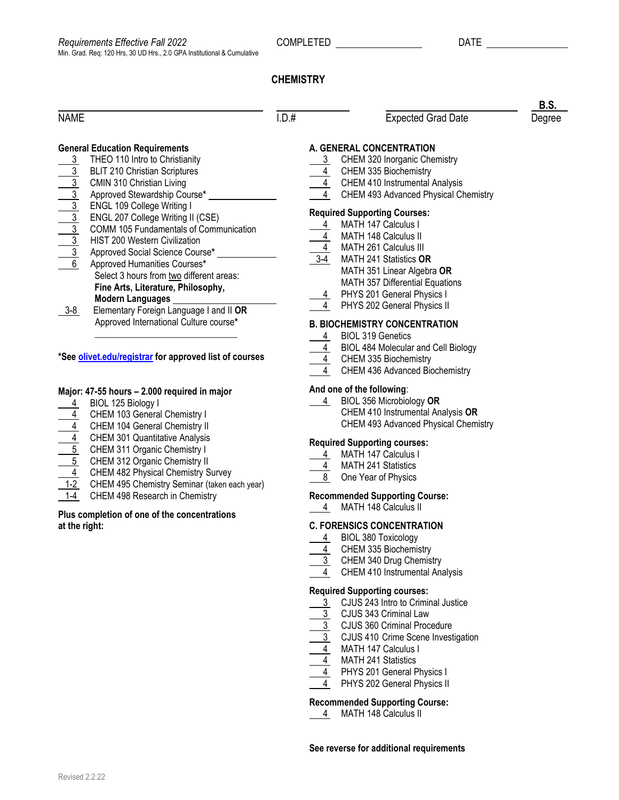## **CHEMISTRY**

| <b>NAME</b>                                                                                                                                                                                                                                                                                                                                                                                                                                                                                                                                                                                                                                                                                                                                                                                            | I.D.# | <b>Expected Grad Date</b>                                                                                                                                                                                                                                                                             | Degree |
|--------------------------------------------------------------------------------------------------------------------------------------------------------------------------------------------------------------------------------------------------------------------------------------------------------------------------------------------------------------------------------------------------------------------------------------------------------------------------------------------------------------------------------------------------------------------------------------------------------------------------------------------------------------------------------------------------------------------------------------------------------------------------------------------------------|-------|-------------------------------------------------------------------------------------------------------------------------------------------------------------------------------------------------------------------------------------------------------------------------------------------------------|--------|
| <b>General Education Requirements</b><br>THEO 110 Intro to Christianity<br>3                                                                                                                                                                                                                                                                                                                                                                                                                                                                                                                                                                                                                                                                                                                           |       | A. GENERAL CONCENTRATION<br>CHEM 320 Inorganic Chemistry<br>3<br>CHEM 335 Biochemistry                                                                                                                                                                                                                |        |
| $\begin{array}{r}\n \begin{array}{r}\n 3 \\ \hline\n 3 \\ \hline\n 4 \\ \hline\n 5\n \end{array} & \n \begin{array}{r}\n \text{BLIT 210 Chif.} \\ \text{CMIN 310 Chif.} \\ \text{Chirstian Living} \\ \hline\n 3\n \end{array} & \n \begin{array}{r}\n \text{RING L 109 College Writing I} \\ \text{ENGL 207 College Writing II} \\ \hline\n 3\n \end{array} & \n \begin{array}{r}\n \text{SNGL 207 College Writing II} \\ \text{COMM 105 Fundamentals} \\ \hline\n 4\n \end{array} & \n \begin{array}{r}\n$<br>COMM 105 Fundamentals of Communication<br>Approved Social Science Course*<br>Select 3 hours from two different areas:<br>Fine Arts, Literature, Philosophy,<br><b>Modern Languages</b><br>Elementary Foreign Language I and II OR<br>$3 - 8$<br>Approved International Culture course* |       | $\frac{4}{1}$ CHEM 410 Instrumental Analysis<br>CHEM 493 Advanced Physical Chemistry                                                                                                                                                                                                                  |        |
|                                                                                                                                                                                                                                                                                                                                                                                                                                                                                                                                                                                                                                                                                                                                                                                                        |       | <b>Required Supporting Courses:</b><br>MATH 147 Calculus I<br><b>MATH 148 Calculus II</b><br>MATH 261 Calculus III<br>$\overline{3-4}$<br>MATH 241 Statistics OR<br>MATH 351 Linear Algebra OR<br><b>MATH 357 Differential Equations</b><br>PHYS 201 General Physics I<br>PHYS 202 General Physics II |        |
|                                                                                                                                                                                                                                                                                                                                                                                                                                                                                                                                                                                                                                                                                                                                                                                                        |       | <b>B. BIOCHEMISTRY CONCENTRATION</b>                                                                                                                                                                                                                                                                  |        |
| *See olivet.edu/registrar for approved list of courses                                                                                                                                                                                                                                                                                                                                                                                                                                                                                                                                                                                                                                                                                                                                                 |       | <b>BIOL 319 Genetics</b><br><b>BIOL 484 Molecular and Cell Biology</b><br>CHEM 335 Biochemistry                                                                                                                                                                                                       |        |

### **Major: 47-55 hours – 2.000 required in major**

- 4 BIOL 125 Biology I
- 4 CHEM 103 General Chemistry I
- 4 CHEM 104 General Chemistry II
- 4 CHEM 301 Quantitative Analysis
- 5 CHEM 311 Organic Chemistry I
- 5 CHEM 312 Organic Chemistry II
- 4 CHEM 482 Physical Chemistry Survey
- $\overline{1-2}$  CHEM 495 Chemistry Seminar (taken each year)
- 1-4 CHEM 498 Research in Chemistry

## **Plus completion of one of the concentrations at the right:**

- 4 CHEM 335 Biochemistry
- 4 CHEM 436 Advanced Biochemistry

### **And one of the following**:

 4 BIOL 356 Microbiology **OR** CHEM 410 Instrumental Analysis **OR** CHEM 493 Advanced Physical Chemistry

#### **Required Supporting courses:**

- 4 MATH 147 Calculus I
- 4 MATH 241 Statistics
- 8 One Year of Physics

#### **Recommended Supporting Course:**

4 MATH 148 Calculus II

#### **C. FORENSICS CONCENTRATION**

- 4 BIOL 380 Toxicology
- 4 CHEM 335 Biochemistry
- 3 CHEM 340 Drug Chemistry
- 4 CHEM 410 Instrumental Analysis

#### **Required Supporting courses:**

- 3 CJUS 243 Intro to Criminal Justice
- 3 CJUS 343 Criminal Law
- 3 CJUS 360 Criminal Procedure
- 3 CJUS 410 Crime Scene Investigation
- 4 MATH 147 Calculus I
- 4 MATH 241 Statistics
- 4 PHYS 201 General Physics I
- 4 PHYS 202 General Physics II

## **Recommended Supporting Course:**

4 MATH 148 Calculus II

## **See reverse for additional requirements**

**B.S.**